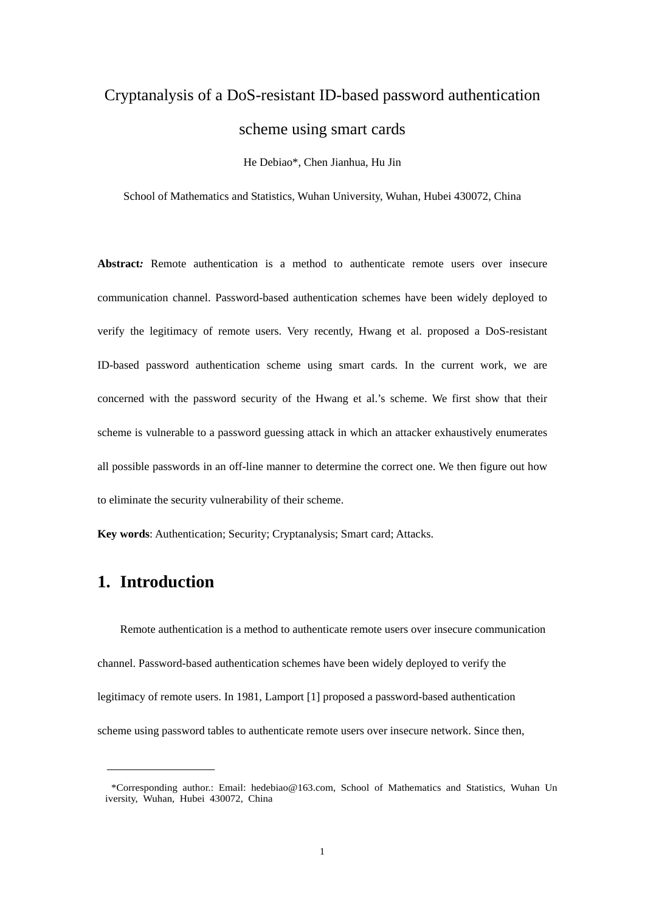# Cryptanalysis of a DoS-resistant ID-based password authentication scheme using smart cards

He Debiao\*, Chen Jianhua, Hu Jin

School of Mathematics and Statistics, Wuhan University, Wuhan, Hubei 430072, China

**Abstract***:* Remote authentication is a method to authenticate remote users over insecure communication channel. Password-based authentication schemes have been widely deployed to verify the legitimacy of remote users. Very recently, Hwang et al. proposed a DoS-resistant ID-based password authentication scheme using smart cards. In the current work, we are concerned with the password security of the Hwang et al.'s scheme. We first show that their scheme is vulnerable to a password guessing attack in which an attacker exhaustively enumerates all possible passwords in an off-line manner to determine the correct one. We then figure out how to eliminate the security vulnerability of their scheme.

**Key words**: Authentication; Security; Cryptanalysis; Smart card; Attacks.

### **1. Introduction**

Remote authentication is a method to authenticate remote users over insecure communication channel. Password-based authentication schemes have been widely deployed to verify the legitimacy of remote users. In 1981, Lamport [1] proposed a password-based authentication scheme using password tables to authenticate remote users over insecure network. Since then,

<sup>\*</sup>Corresponding author.: Email: hedebiao@163.com, School of Mathematics and Statistics, Wuhan Un iversity, Wuhan, Hubei 430072, China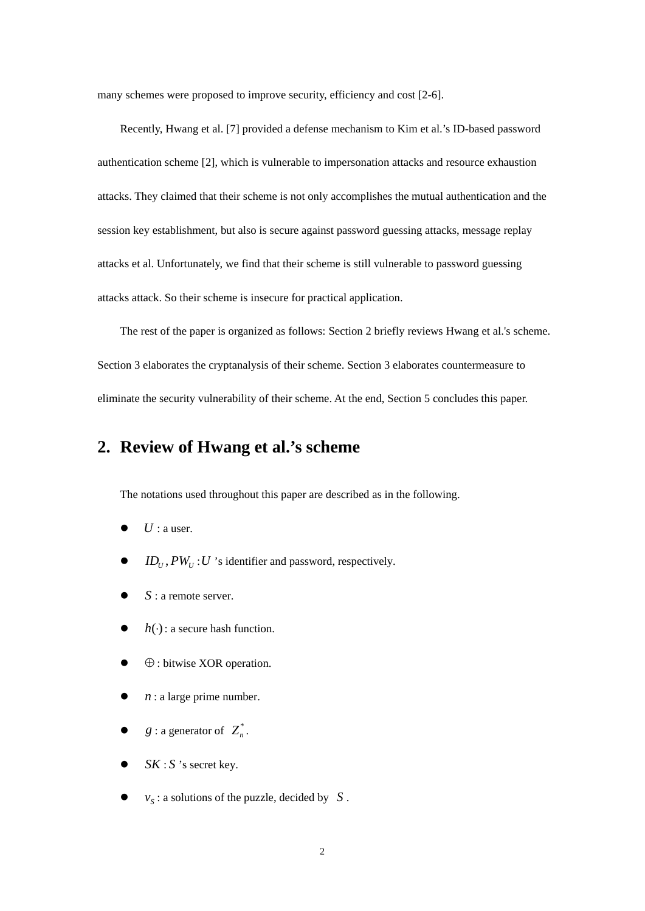many schemes were proposed to improve security, efficiency and cost [2-6].

Recently, Hwang et al. [7] provided a defense mechanism to Kim et al.'s ID-based password authentication scheme [2], which is vulnerable to impersonation attacks and resource exhaustion attacks. They claimed that their scheme is not only accomplishes the mutual authentication and the session key establishment, but also is secure against password guessing attacks, message replay attacks et al. Unfortunately, we find that their scheme is still vulnerable to password guessing attacks attack. So their scheme is insecure for practical application.

The rest of the paper is organized as follows: Section 2 briefly reviews Hwang et al.'s scheme. Section 3 elaborates the cryptanalysis of their scheme. Section 3 elaborates countermeasure to eliminate the security vulnerability of their scheme. At the end, Section 5 concludes this paper.

# **2. Review of Hwang et al.'s scheme**

The notations used throughout this paper are described as in the following.

- $\bullet$  *U* : a user.
- $ID_{U}$ ,  $PW_{U}$ : *U* 's identifier and password, respectively.
- $\bullet$  *S* : a remote server.
- $\bullet$  *h*( $\cdot$ ) : a secure hash function.
- ⊕ : bitwise XOR operation.
- $n:$  a large prime number.
- $g:$  a generator of  $Z_n^*$ .
- SK : S 's secret key.
- $v_s$ : a solutions of the puzzle, decided by *S*.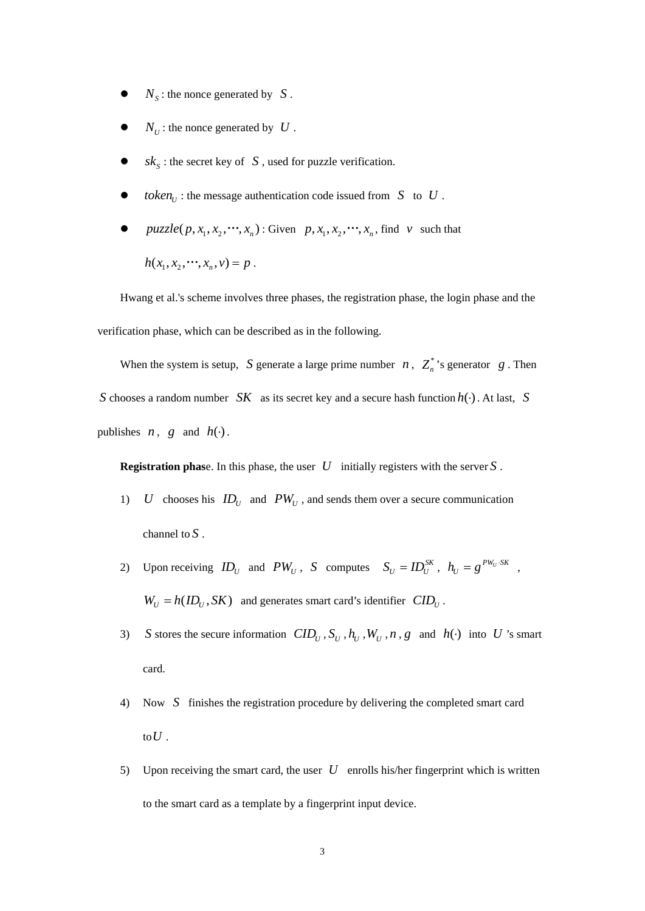- $N<sub>S</sub>$ : the nonce generated by *S*.
- $N_U$ : the nonce generated by  $U$ .
- $sk_s$ : the secret key of  $S$ , used for puzzle verification.
- $\bullet$  *token*<sub>*u*</sub>: the message authentication code issued from *S* to *U*.
- $puzzle(p, x_1, x_2, \cdots, x_n)$ : Given  $p, x_1, x_2, \cdots, x_n$ , find *v* such that  $h(x_1, x_2, \dots, x_n, v) = p$ .

Hwang et al.'s scheme involves three phases, the registration phase, the login phase and the verification phase, which can be described as in the following.

When the system is setup, *S* generate a large prime number *n*,  $Z_n^*$ 's generator *g*. Then *S* chooses a random number *SK* as its secret key and a secure hash function  $h(·)$ . At last, *S* publishes *n*, *g* and  $h(\cdot)$ .

**Registration phas**e. In this phase, the user *U* initially registers with the server *S* .

- 1) *U* chooses his  $ID_U$  and  $PW_U$ , and sends them over a secure communication channel to *S* .
- 2) Upon receiving  $ID_U$  and  $PW_U$ , S computes  $S_U = ID_U^{SK}$ ,  $h_U = g^{PW_U \cdot SK}$ ,  $W_U = h(ID_U, SK)$  and generates smart card's identifier  $CID_U$ .
- 3) *S* stores the secure information  $CID_U$ ,  $S_U$ ,  $h_U$ ,  $W_U$ ,  $n$ ,  $g$  and  $h(\cdot)$  into *U* 's smart card.
- 4) Now *S* finishes the registration procedure by delivering the completed smart card to  $U$  .
- 5) Upon receiving the smart card, the user *U* enrolls his/her fingerprint which is written to the smart card as a template by a fingerprint input device.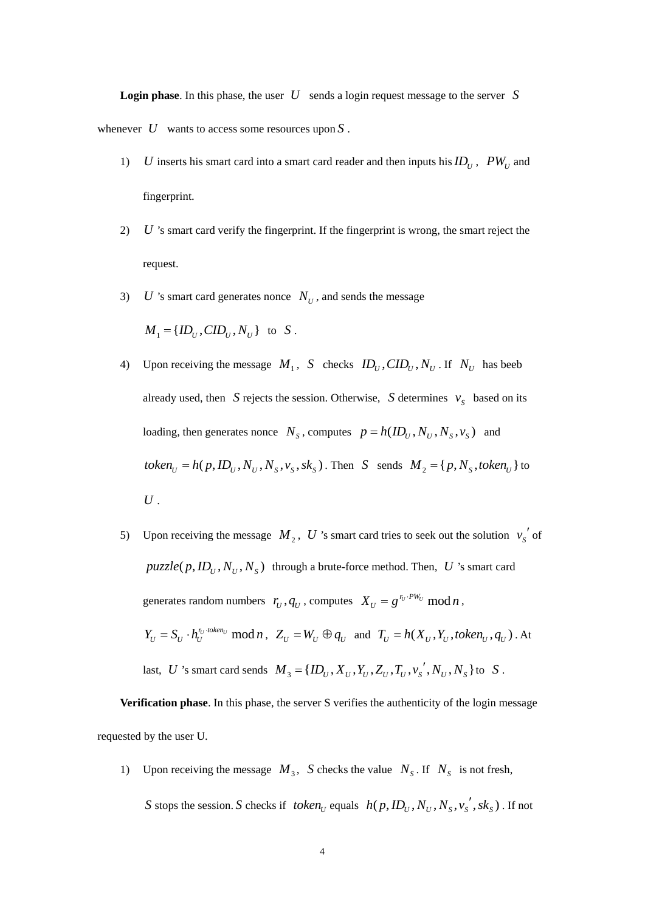**Login phase.** In this phase, the user  $U$  sends a login request message to the server  $S$ whenever *U* wants to access some resources upon *S* .

- 1) *U* inserts his smart card into a smart card reader and then inputs his  $ID_U$ ,  $PW_U$  and fingerprint.
- 2) *U* 's smart card verify the fingerprint. If the fingerprint is wrong, the smart reject the request.
- 3) *U* 's smart card generates nonce  $N_U$ , and sends the message

$$
M_1 = \{ID_U,CID_U, N_U\}
$$
 to S.

4) Upon receiving the message  $M_1$ , *S* checks  $ID_U$ ,  $CID_U$ ,  $N_U$ . If  $N_U$  has beeb already used, then *S* rejects the session. Otherwise, *S* determines  $v_s$  based on its loading, then generates nonce  $N_s$ , computes  $p = h(ID_u, N_u, N_s, v_s)$  and  $token_U = h(p, ID_U, N_U, N_S, v_S, sk_S)$ . Then *S* sends  $M_2 = \{p, N_S, token_U\}$  to *U* .

5) Upon receiving the message  $M_2$ , U 's smart card tries to seek out the solution  $v_s'$  of  $puzzle(p, ID_U, N_U, N_S)$  through a brute-force method. Then, *U* 's smart card generates random numbers  $r_U$ ,  $q_U$ , computes  $X_U = g^{r_U \cdot PW_U} \mod n$ ,  $Y_U = S_U \cdot h_U^{r_U \cdot token_U} \mod n$ ,  $Z_U = W_U \oplus q_U \text{ and } T_U = h(X_U, Y_U, token_U, q_U)$ . At last, *U* 's smart card sends  $M_3 = \{ID_U, X_U, Y_U, Z_U, T_U, v_s', N_U, N_s\}$  to *S*.

**Verification phase**. In this phase, the server S verifies the authenticity of the login message requested by the user U.

1) Upon receiving the message  $M_3$ , *S* checks the value  $N_S$ . If  $N_S$  is not fresh,

*S* stops the session. *S* checks if *token*<sub>*v*</sub> equals  $h(p, ID_U, N_U, N_S, v_S^{'}, sk_S)$ . If not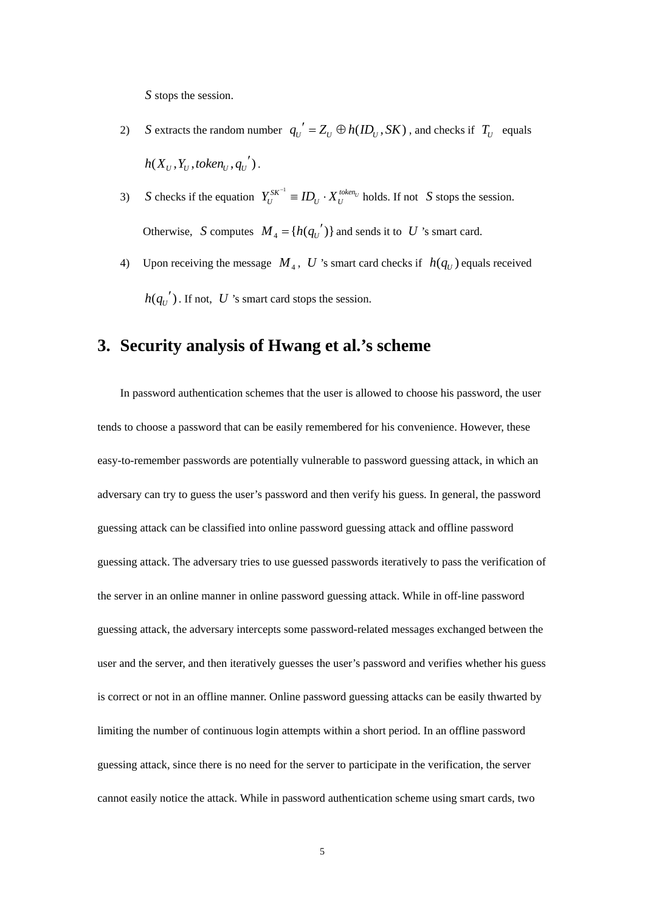*S* stops the session.

- 2) *S* extracts the random number  $q_U' = Z_U \oplus h(ID_U, SK)$ , and checks if  $T_U$  equals  $h(X_{U}, Y_{U},$  token<sub> $U}, q_{U}^{'}).$ </sub>
- 3) *S* checks if the equation  $Y_U^{SK^{-1}} = ID_U \cdot X_U^{token_U}$  holds. If not *S* stops the session. Otherwise, *S* computes  $M_4 = {h(q_{U}')}$  and sends it to *U* 's smart card.
- 4) Upon receiving the message  $M_4$ , U 's smart card checks if  $h(q_U)$  equals received  $h(q_{U}^{'} )$ . If not,  $U$  's smart card stops the session.

## **3. Security analysis of Hwang et al.'s scheme**

In password authentication schemes that the user is allowed to choose his password, the user tends to choose a password that can be easily remembered for his convenience. However, these easy-to-remember passwords are potentially vulnerable to password guessing attack, in which an adversary can try to guess the user's password and then verify his guess. In general, the password guessing attack can be classified into online password guessing attack and offline password guessing attack. The adversary tries to use guessed passwords iteratively to pass the verification of the server in an online manner in online password guessing attack. While in off-line password guessing attack, the adversary intercepts some password-related messages exchanged between the user and the server, and then iteratively guesses the user's password and verifies whether his guess is correct or not in an offline manner. Online password guessing attacks can be easily thwarted by limiting the number of continuous login attempts within a short period. In an offline password guessing attack, since there is no need for the server to participate in the verification, the server cannot easily notice the attack. While in password authentication scheme using smart cards, two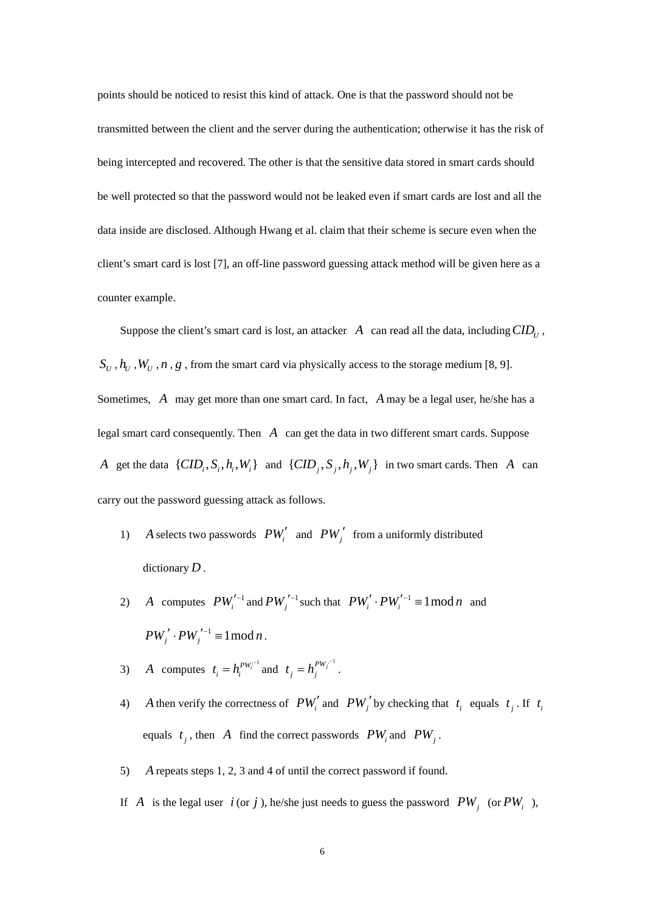points should be noticed to resist this kind of attack. One is that the password should not be transmitted between the client and the server during the authentication; otherwise it has the risk of being intercepted and recovered. The other is that the sensitive data stored in smart cards should be well protected so that the password would not be leaked even if smart cards are lost and all the data inside are disclosed. Although Hwang et al. claim that their scheme is secure even when the client's smart card is lost [7], an off-line password guessing attack method will be given here as a counter example.

Suppose the client's smart card is lost, an attacker  $A$  can read all the data, including  $CID<sub>U</sub>$ ,  $S_U$ ,  $h_U$ ,  $W_U$ ,  $n$ ,  $g$ , from the smart card via physically access to the storage medium [8, 9]. Sometimes, *A* may get more than one smart card. In fact, *A* may be a legal user, he/she has a legal smart card consequently. Then *A* can get the data in two different smart cards. Suppose *A* get the data  $\{CID_i, S_i, h_i, W_i\}$  and  $\{CID_j, S_j, h_i, W_j\}$  in two smart cards. Then *A* can carry out the password guessing attack as follows.

- 1) *A* selects two passwords  $PW'_i$  and  $PW'_j$  from a uniformly distributed dictionary *D* .
- 2) *A* computes  $PW_i'^{-1}$  and  $PW_j'^{-1}$  such that  $PW_i' \cdot PW_i'^{-1} \equiv 1 \mod n$  and  $PW_j' \cdot PW_j'^{-1} \equiv 1 \mod n$ .
- 3) *A* computes  $t_i = h_i^{PW_i^{-1}}$  and  $t_j = h_j^{PW_j^{-1}}$ .
- 4) *A* then verify the correctness of  $PW_i'$  and  $PW_j'$  by checking that  $t_i$  equals  $t_j$ . If  $t_i$ equals  $t_i$ , then *A* find the correct passwords  $PW_i$  and  $PW_j$ .
- 5) *A* repeats steps 1, 2, 3 and 4 of until the correct password if found.
- If *A* is the legal user  $i$  (or  $j$ ), he/she just needs to guess the password  $PW_i$  (or  $PW_i$ ),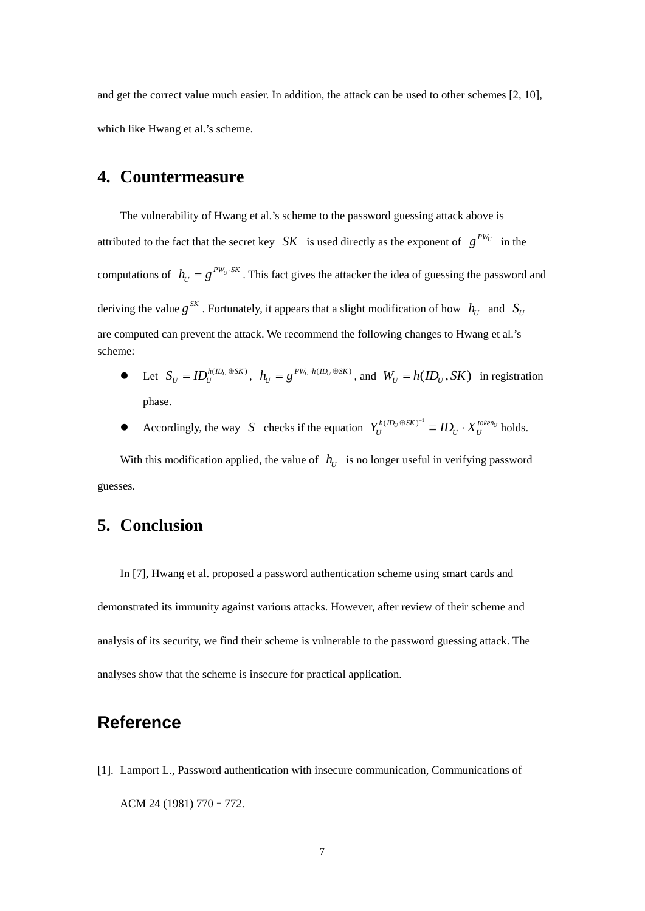and get the correct value much easier. In addition, the attack can be used to other schemes [2, 10], which like Hwang et al.'s scheme.

#### **4. Countermeasure**

The vulnerability of Hwang et al.'s scheme to the password guessing attack above is attributed to the fact that the secret key *SK* is used directly as the exponent of  $g^{PW_U}$  in the computations of  $h_U = g^{PW_U \cdot SK}$ . This fact gives the attacker the idea of guessing the password and deriving the value  $g^{SK}$ . Fortunately, it appears that a slight modification of how  $h_U$  and  $S_U$ are computed can prevent the attack. We recommend the following changes to Hwang et al.'s scheme:

- Let  $S_U = ID_U^{h(ID_U \oplus SK)}$ ,  $h_U = g^{PW_U \cdot h(ID_U \oplus SK)}$ , and  $W_U = h(ID_U, SK)$  in registration phase.
- Accordingly, the way *S* checks if the equation  $Y_U^{h(D_U \oplus SK)^{-1}} \equiv ID_U \cdot X_U^{token_U}$  holds.

With this modification applied, the value of  $h_U$  is no longer useful in verifying password guesses.

## **5. Conclusion**

In [7], Hwang et al. proposed a password authentication scheme using smart cards and demonstrated its immunity against various attacks. However, after review of their scheme and analysis of its security, we find their scheme is vulnerable to the password guessing attack. The analyses show that the scheme is insecure for practical application.

# **Reference**

[1]. Lamport L., Password authentication with insecure communication, Communications of ACM 24 (1981) 770–772.